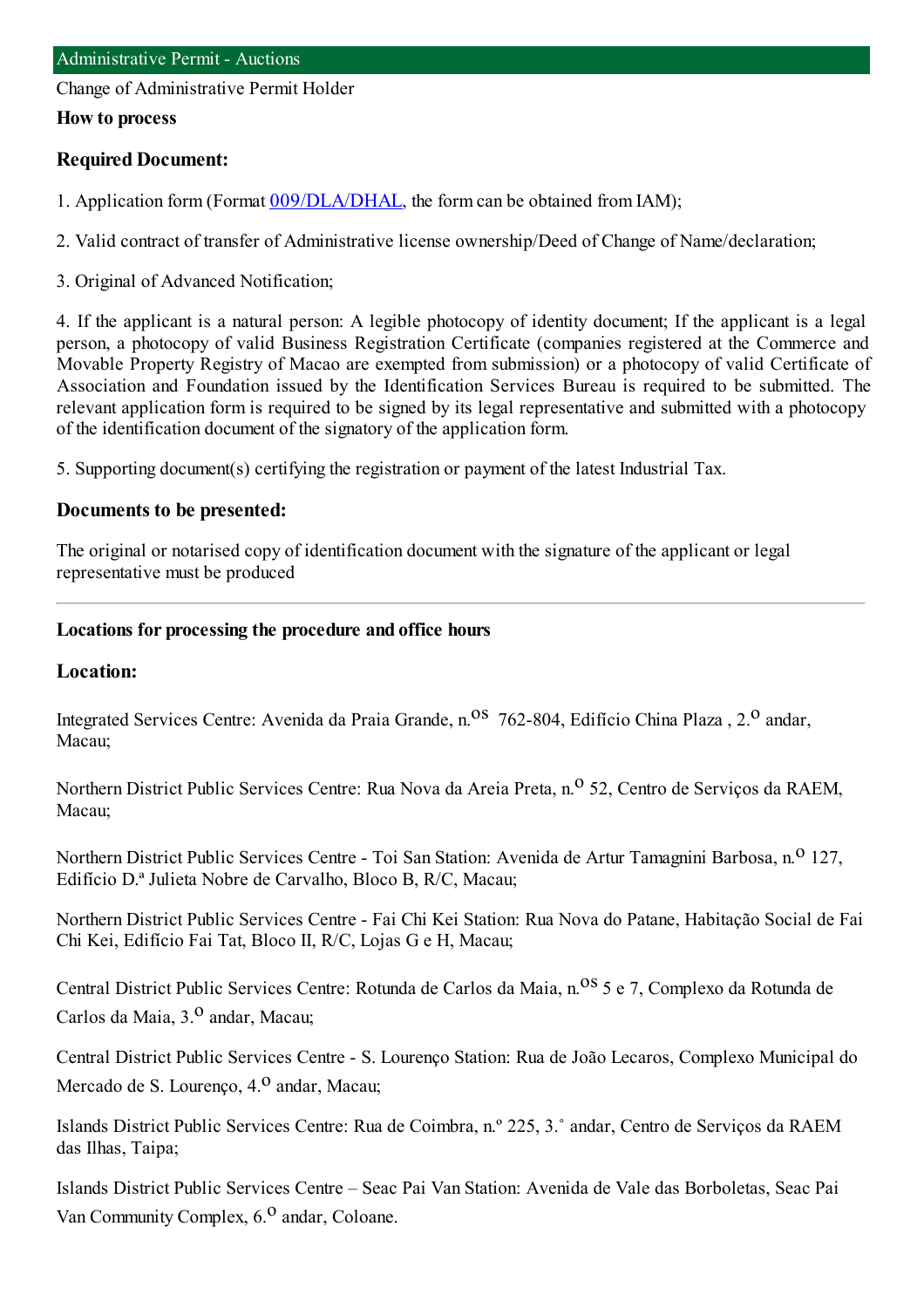Change of Administrative Permit Holder

#### **How to process**

### **Required Document:**

- 1. Application form(Format [009/DLA/DHAL](http://www.iam.gov.mo/c/pdf/eformDetail/PDF363), the formcan be obtained fromIAM);
- 2. Valid contract of transfer of Administrative license ownership/Deed of Change of Name/declaration;
- 3. Original of Advanced Notification;

4. If the applicant is a natural person: A legible photocopy of identity document; If the applicant is a legal person, a photocopy of valid Business Registration Certificate (companies registered at the Commerce and Movable Property Registry of Macao are exempted from submission) or a photocopy of valid Certificate of Association and Foundation issued by the Identification Services Bureau is required to be submitted. The relevant application form is required to be signed by its legal representative and submitted with a photocopy of the identification document of the signatory of the application form.

5. Supporting document(s) certifying the registration or payment of the latest Industrial Tax.

### **Documents to be presented:**

The original or notarised copy of identification document with the signature of the applicant or legal representative must be produced

#### **Locations for processing the procedure and office hours**

### **Location:**

Integrated Services Centre: Avenida da Praia Grande, n.<sup>0S</sup> 762-804, Edifício China Plaza, 2.<sup>0</sup> andar, Macau;

Northern District Public Services Centre: Rua Nova da Areia Preta, n.<sup>o</sup> 52, Centro de Serviços da RAEM, Macau;

Northern District Public Services Centre - Toi San Station: Avenida de Artur Tamagnini Barbosa, n.<sup>0</sup> 127, Edifício D.ª Julieta Nobre de Carvalho, Bloco B, R/C, Macau;

Northern District Public Services Centre - Fai Chi Kei Station: Rua Nova do Patane, Habitação Social de Fai Chi Kei, Edifício Fai Tat, Bloco II, R/C, Lojas G e H, Macau;

Central District Public Services Centre: Rotunda de Carlos da Maia, n.<sup>08</sup> 5 e 7, Complexo da Rotunda de Carlos da Maia, 3.º andar, Macau:

Central District Public Services Centre - S. Lourenço Station: Rua de João Lecaros, Complexo Municipal do Mercado de S. Lourenço, 4.<sup>0</sup> andar, Macau;

Islands District Public Services Centre: Rua de Coimbra, n.º 225, 3.˚ andar, Centro de Serviços da RAEM das Ilhas, Taipa;

Islands District Public Services Centre – Seac Pai Van Station: Avenida de Vale das Borboletas, Seac Pai Van Community Complex,  $6<sup>0</sup>$  andar, Coloane.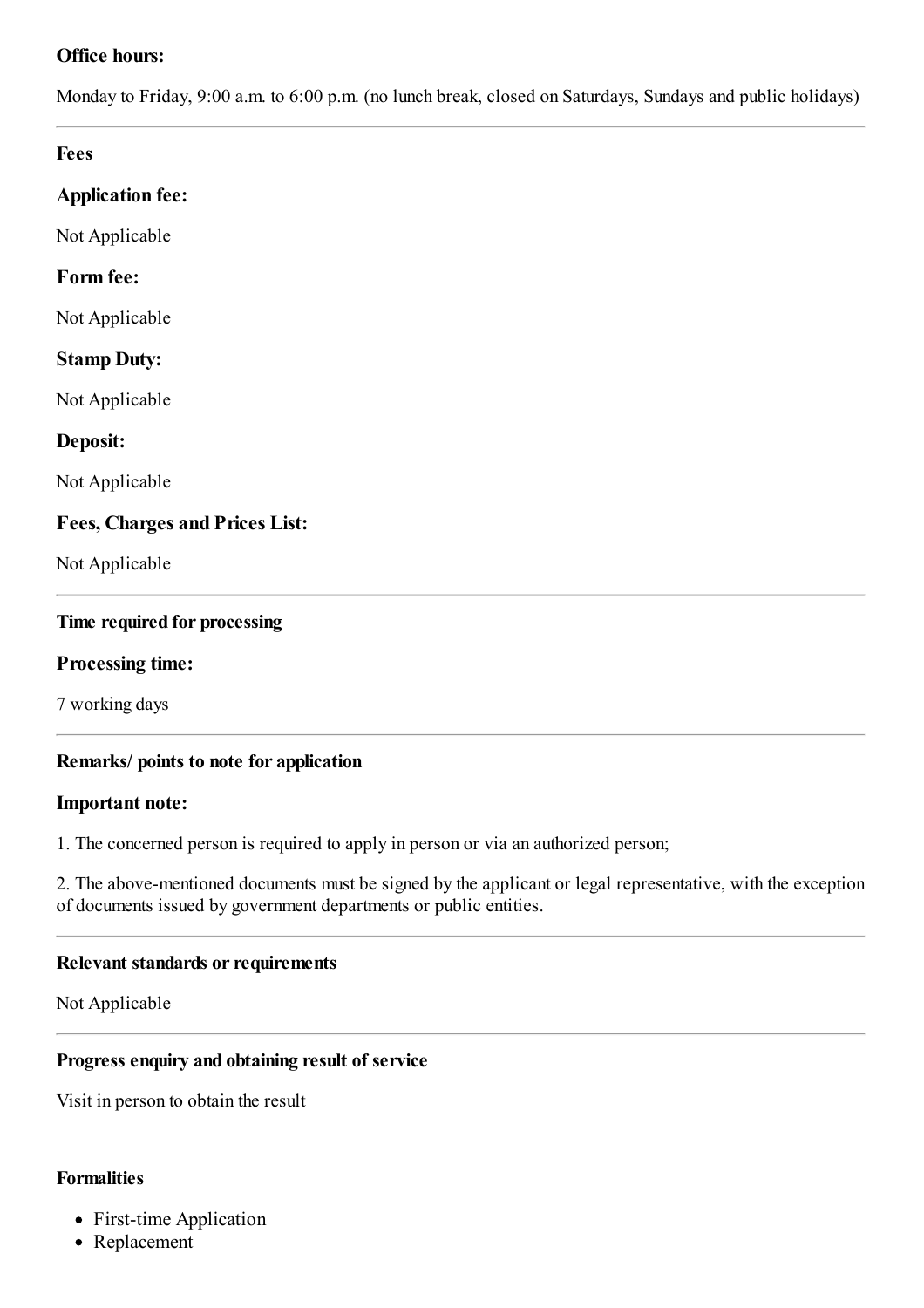# **Office hours:**

Monday to Friday, 9:00 a.m. to 6:00 p.m. (no lunch break, closed on Saturdays, Sundays and public holidays)

### **Fees**

## **Application fee:**

Not Applicable

## **Form fee:**

Not Applicable

## **Stamp Duty:**

Not Applicable

## **Deposit:**

Not Applicable

## **Fees, Charges and Prices List:**

Not Applicable

### **Time required for processing**

### **Processing time:**

7 working days

### **Remarks/ points to note for application**

### **Important note:**

1. The concerned person is required to apply in person or via an authorized person;

2. The above-mentioned documents must be signed by the applicant or legal representative, with the exception of documents issued by government departments or public entities.

### **Relevant standards or requirements**

Not Applicable

### **Progress enquiry and obtaining result of service**

Visit in person to obtain the result

### **Formalities**

- First-time Application
- Replacement